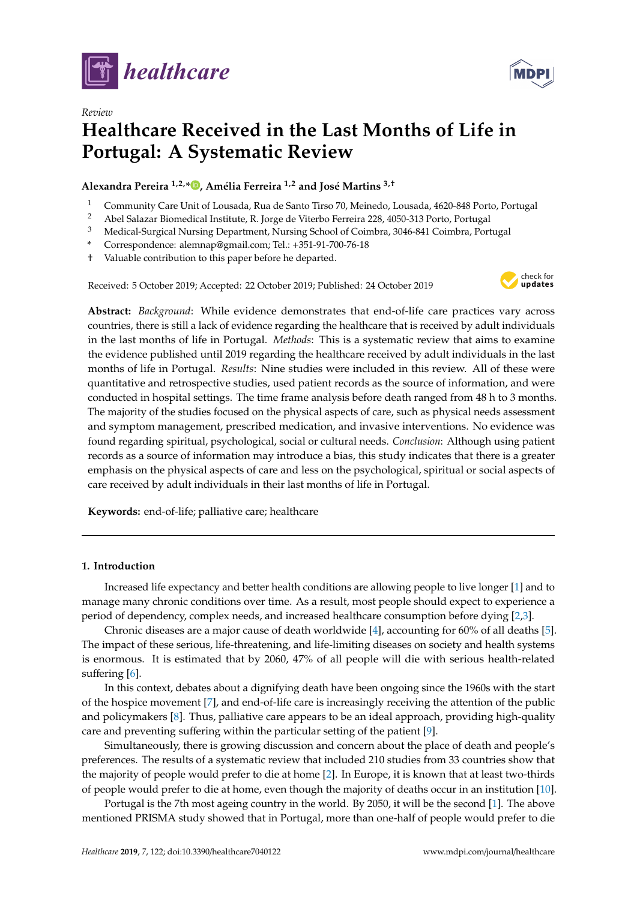

*Review*



# **Healthcare Received in the Last Months of Life in Portugal: A Systematic Review**

# **Alexandra Pereira 1,2,[\\*](https://orcid.org/0000-0002-5021-0503) , Amélia Ferreira 1,2 and José Martins 3,**†

- <sup>1</sup> Community Care Unit of Lousada, Rua de Santo Tirso 70, Meinedo, Lousada, 4620-848 Porto, Portugal<br><sup>2</sup> Abel Salazar Biomadical Instituto, P. Jorge de Vitarbe Ferreire 228, 4050, 213 Porto, Portugal
- <sup>2</sup> Abel Salazar Biomedical Institute, R. Jorge de Viterbo Ferreira 228, 4050-313 Porto, Portugal
- <sup>3</sup> Medical-Surgical Nursing Department, Nursing School of Coimbra, 3046-841 Coimbra, Portugal
- **\*** Correspondence: alemnap@gmail.com; Tel.: +351-91-700-76-18
- † Valuable contribution to this paper before he departed.

Received: 5 October 2019; Accepted: 22 October 2019; Published: 24 October 2019



**Abstract:** *Background*: While evidence demonstrates that end-of-life care practices vary across countries, there is still a lack of evidence regarding the healthcare that is received by adult individuals in the last months of life in Portugal. *Methods*: This is a systematic review that aims to examine the evidence published until 2019 regarding the healthcare received by adult individuals in the last months of life in Portugal. *Results*: Nine studies were included in this review. All of these were quantitative and retrospective studies, used patient records as the source of information, and were conducted in hospital settings. The time frame analysis before death ranged from 48 h to 3 months. The majority of the studies focused on the physical aspects of care, such as physical needs assessment and symptom management, prescribed medication, and invasive interventions. No evidence was found regarding spiritual, psychological, social or cultural needs. *Conclusion*: Although using patient records as a source of information may introduce a bias, this study indicates that there is a greater emphasis on the physical aspects of care and less on the psychological, spiritual or social aspects of care received by adult individuals in their last months of life in Portugal.

**Keywords:** end-of-life; palliative care; healthcare

# **1. Introduction**

Increased life expectancy and better health conditions are allowing people to live longer [\[1\]](#page-12-0) and to manage many chronic conditions over time. As a result, most people should expect to experience a period of dependency, complex needs, and increased healthcare consumption before dying [\[2](#page-12-1)[,3\]](#page-12-2).

Chronic diseases are a major cause of death worldwide [\[4\]](#page-12-3), accounting for 60% of all deaths [\[5\]](#page-12-4). The impact of these serious, life-threatening, and life-limiting diseases on society and health systems is enormous. It is estimated that by 2060, 47% of all people will die with serious health-related suffering [\[6\]](#page-12-5).

In this context, debates about a dignifying death have been ongoing since the 1960s with the start of the hospice movement [\[7\]](#page-12-6), and end-of-life care is increasingly receiving the attention of the public and policymakers [\[8\]](#page-12-7). Thus, palliative care appears to be an ideal approach, providing high-quality care and preventing suffering within the particular setting of the patient [\[9\]](#page-12-8).

Simultaneously, there is growing discussion and concern about the place of death and people's preferences. The results of a systematic review that included 210 studies from 33 countries show that the majority of people would prefer to die at home [\[2\]](#page-12-1). In Europe, it is known that at least two-thirds of people would prefer to die at home, even though the majority of deaths occur in an institution [\[10\]](#page-12-9).

Portugal is the 7th most ageing country in the world. By 2050, it will be the second [\[1\]](#page-12-0). The above mentioned PRISMA study showed that in Portugal, more than one-half of people would prefer to die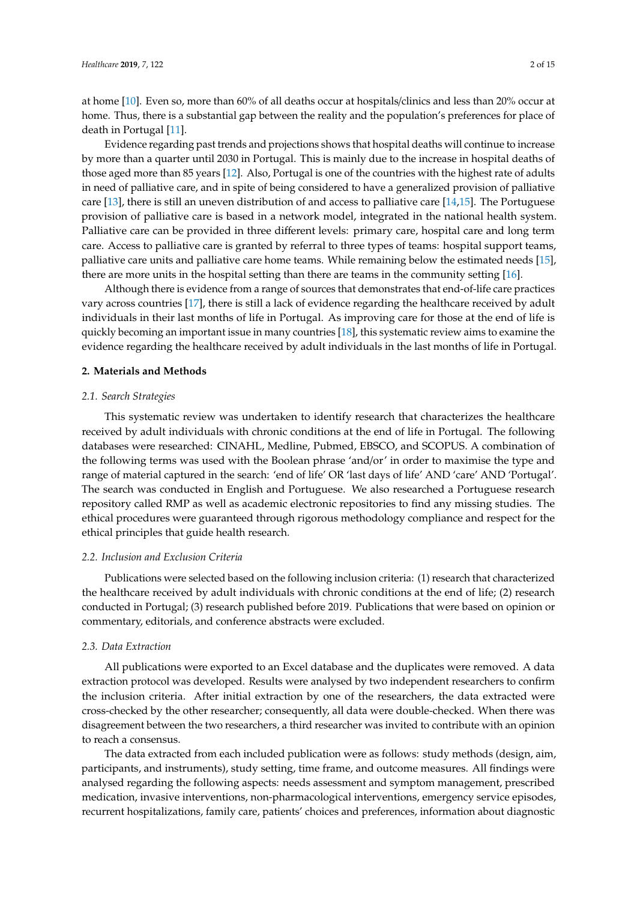at home [\[10\]](#page-12-9). Even so, more than 60% of all deaths occur at hospitals/clinics and less than 20% occur at home. Thus, there is a substantial gap between the reality and the population's preferences for place of death in Portugal [\[11\]](#page-12-10).

Evidence regarding past trends and projections shows that hospital deaths will continue to increase by more than a quarter until 2030 in Portugal. This is mainly due to the increase in hospital deaths of those aged more than 85 years [\[12\]](#page-12-11). Also, Portugal is one of the countries with the highest rate of adults in need of palliative care, and in spite of being considered to have a generalized provision of palliative care [\[13\]](#page-12-12), there is still an uneven distribution of and access to palliative care [\[14](#page-12-13)[,15\]](#page-12-14). The Portuguese provision of palliative care is based in a network model, integrated in the national health system. Palliative care can be provided in three different levels: primary care, hospital care and long term care. Access to palliative care is granted by referral to three types of teams: hospital support teams, palliative care units and palliative care home teams. While remaining below the estimated needs [\[15\]](#page-12-14), there are more units in the hospital setting than there are teams in the community setting [\[16\]](#page-12-15).

Although there is evidence from a range of sources that demonstrates that end-of-life care practices vary across countries [\[17\]](#page-12-16), there is still a lack of evidence regarding the healthcare received by adult individuals in their last months of life in Portugal. As improving care for those at the end of life is quickly becoming an important issue in many countries [\[18\]](#page-12-17), this systematic review aims to examine the evidence regarding the healthcare received by adult individuals in the last months of life in Portugal.

#### **2. Materials and Methods**

## *2.1. Search Strategies*

This systematic review was undertaken to identify research that characterizes the healthcare received by adult individuals with chronic conditions at the end of life in Portugal. The following databases were researched: CINAHL, Medline, Pubmed, EBSCO, and SCOPUS. A combination of the following terms was used with the Boolean phrase 'and/or' in order to maximise the type and range of material captured in the search: 'end of life' OR 'last days of life' AND 'care' AND 'Portugal'. The search was conducted in English and Portuguese. We also researched a Portuguese research repository called RMP as well as academic electronic repositories to find any missing studies. The ethical procedures were guaranteed through rigorous methodology compliance and respect for the ethical principles that guide health research.

# *2.2. Inclusion and Exclusion Criteria*

Publications were selected based on the following inclusion criteria: (1) research that characterized the healthcare received by adult individuals with chronic conditions at the end of life; (2) research conducted in Portugal; (3) research published before 2019. Publications that were based on opinion or commentary, editorials, and conference abstracts were excluded.

#### *2.3. Data Extraction*

All publications were exported to an Excel database and the duplicates were removed. A data extraction protocol was developed. Results were analysed by two independent researchers to confirm the inclusion criteria. After initial extraction by one of the researchers, the data extracted were cross-checked by the other researcher; consequently, all data were double-checked. When there was disagreement between the two researchers, a third researcher was invited to contribute with an opinion to reach a consensus.

The data extracted from each included publication were as follows: study methods (design, aim, participants, and instruments), study setting, time frame, and outcome measures. All findings were analysed regarding the following aspects: needs assessment and symptom management, prescribed medication, invasive interventions, non-pharmacological interventions, emergency service episodes, recurrent hospitalizations, family care, patients' choices and preferences, information about diagnostic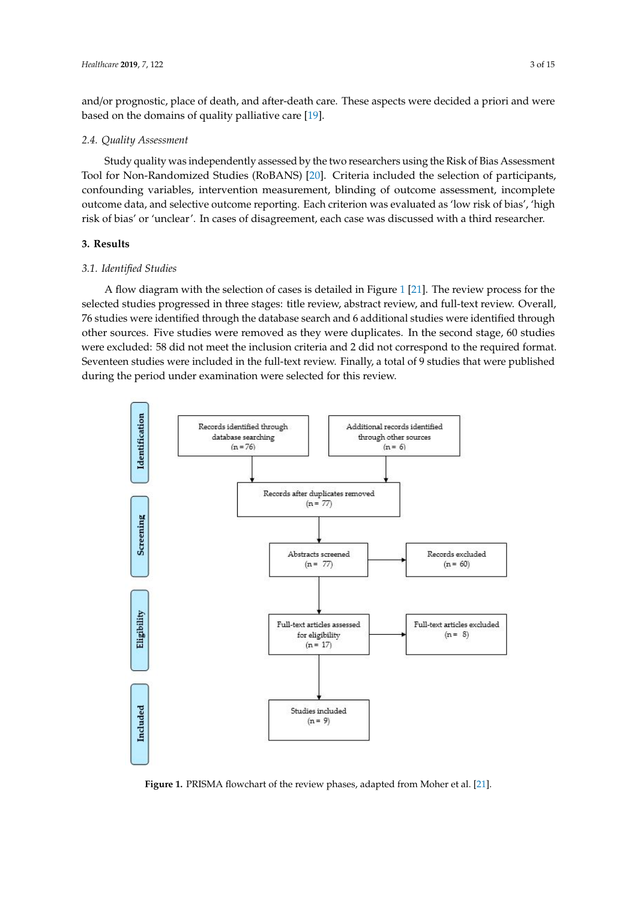and/or prognostic, place of death, and after-death care. These aspects were decided a priori and were based on the domains of quality palliative care [\[19\]](#page-12-18). and were based on the domains of quality palliative care [19].

#### *2.4. Quality Assessment 2.4. Quality Assessment*

Study quality was independently assessed by the two researchers using the Risk of Bias Assessment Tool for Non-Randomized Studies (RoBANS) [\[20\]](#page-13-0). Criteria included the selection of participants, confounding variables, intervention measurement, blinding of outcome assessment, incomplete outcome data, and selective outcome reporting. Each criterion was evaluated as 'low risk of bias', 'high risk of bias' or 'unclear'. In cases of disagreement, each case was discussed with a third researcher.  $A_{\text{A}}$  for Nandomized Studies (RoBANS)  $[20]$ . Criteria included the selection of participation

# **3. Results**

# *3.1. Identified Studies*

A flow diagram with the selection of cases is detailed in Figure [1](#page-2-0) [\[21\]](#page-13-1). The review process for the selected studies progressed in three stages: title review, abstract review, and full-text review. Overall, 76 studies were identified through the database search and 6 additional studies were identified through other sources. Five studies were removed as they were duplicates. In the second stage, 60 studies were excluded: 58 did not meet the inclusion criteria and 2 did not correspond to the required format. Seventeen studies were included in the full-text review. Finally, a total of 9 studies that were published<br>. during the period under examination were selected for this review. studies were excluded: 58 did not meet the inclusion criteria and 2 did not correspond to the required

<span id="page-2-0"></span>

**Figure 1.** PRISMA flowchart of the review phases, adapted from Moher et al. [[21\]](#page-13-1).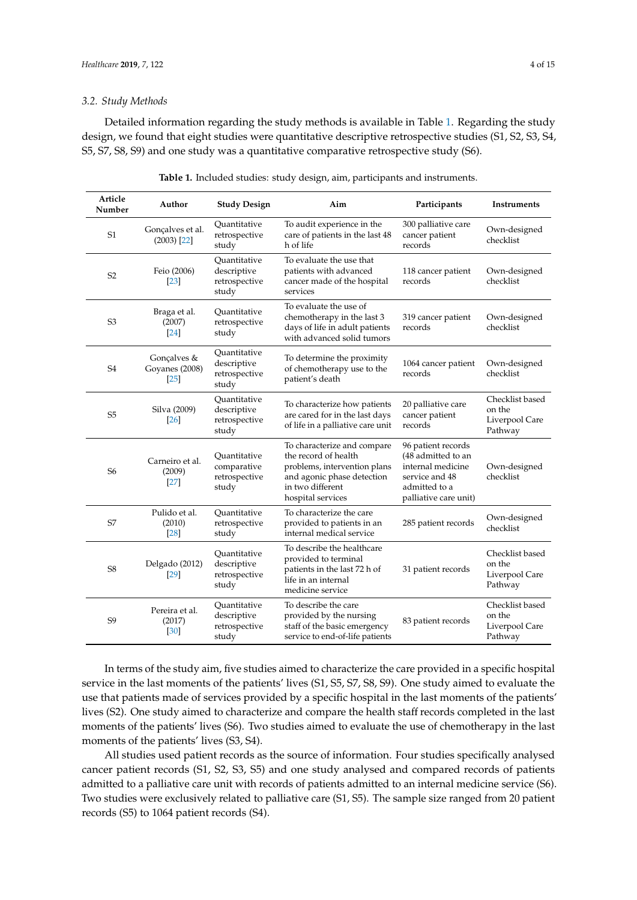#### *3.2. Study Methods*

Detailed information regarding the study methods is available in Table [1.](#page-3-0) Regarding the study design, we found that eight studies were quantitative descriptive retrospective studies (S1, S2, S3, S4, S5, S7, S8, S9) and one study was a quantitative comparative retrospective study (S6).

<span id="page-3-0"></span>

| Article<br>Number | Author                                  | <b>Study Design</b>                                   | Aim                                                                                                                                                        | Participants                                                                                                              | Instruments                                            |  |
|-------------------|-----------------------------------------|-------------------------------------------------------|------------------------------------------------------------------------------------------------------------------------------------------------------------|---------------------------------------------------------------------------------------------------------------------------|--------------------------------------------------------|--|
| S <sub>1</sub>    | Gonçalves et al.<br>$(2003)$ [22]       | Quantitative<br>retrospective<br>study                | To audit experience in the<br>care of patients in the last 48<br>h of life                                                                                 | 300 palliative care<br>cancer patient<br>records                                                                          | Own-designed<br>checklist                              |  |
| S <sub>2</sub>    | Feio (2006)<br>$[23]$                   | Quantitative<br>descriptive<br>retrospective<br>study | To evaluate the use that<br>patients with advanced<br>cancer made of the hospital<br>services                                                              | 118 cancer patient<br>records                                                                                             | Own-designed<br>checklist                              |  |
| S <sub>3</sub>    | Braga et al.<br>(2007)<br>[24]          | Quantitative<br>retrospective<br>study                | To evaluate the use of<br>chemotherapy in the last 3<br>days of life in adult patients<br>with advanced solid tumors                                       | 319 cancer patient<br>records                                                                                             | Own-designed<br>checklist                              |  |
| S <sub>4</sub>    | Gonçalves &<br>Goyanes (2008)<br>$[25]$ | Quantitative<br>descriptive<br>retrospective<br>study | To determine the proximity<br>of chemotherapy use to the<br>patient's death                                                                                | 1064 cancer patient<br>records                                                                                            | Own-designed<br>checklist                              |  |
| S <sub>5</sub>    | Silva (2009)<br>$[26]$                  | Quantitative<br>descriptive<br>retrospective<br>study | To characterize how patients<br>are cared for in the last days<br>of life in a palliative care unit                                                        | 20 palliative care<br>cancer patient<br>records                                                                           | Checklist based<br>on the<br>Liverpool Care<br>Pathway |  |
| S <sub>6</sub>    | Carneiro et al.<br>(2009)<br>$[27]$     | Quantitative<br>comparative<br>retrospective<br>study | To characterize and compare<br>the record of health<br>problems, intervention plans<br>and agonic phase detection<br>in two different<br>hospital services | 96 patient records<br>(48 admitted to an<br>internal medicine<br>service and 48<br>admitted to a<br>palliative care unit) | Own-designed<br>checklist                              |  |
| S7                | Pulido et al.<br>(2010)<br>[28]         | Quantitative<br>retrospective<br>study                | To characterize the care<br>provided to patients in an<br>internal medical service                                                                         | 285 patient records                                                                                                       | Own-designed<br>checklist                              |  |
| S <sub>8</sub>    | Delgado (2012)<br>$[29]$                | Quantitative<br>descriptive<br>retrospective<br>study | To describe the healthcare<br>provided to terminal<br>patients in the last 72 h of<br>life in an internal<br>medicine service                              | 31 patient records                                                                                                        | Checklist based<br>on the<br>Liverpool Care<br>Pathway |  |
| S <sub>9</sub>    | Pereira et al.<br>(2017)<br>$[30]$      | Quantitative<br>descriptive<br>retrospective<br>study | To describe the care<br>provided by the nursing<br>staff of the basic emergency<br>service to end-of-life patients                                         | 83 patient records                                                                                                        | Checklist based<br>on the<br>Liverpool Care<br>Pathway |  |

**Table 1.** Included studies: study design, aim, participants and instruments.

In terms of the study aim, five studies aimed to characterize the care provided in a specific hospital service in the last moments of the patients' lives (S1, S5, S7, S8, S9). One study aimed to evaluate the use that patients made of services provided by a specific hospital in the last moments of the patients' lives (S2). One study aimed to characterize and compare the health staff records completed in the last moments of the patients' lives (S6). Two studies aimed to evaluate the use of chemotherapy in the last moments of the patients' lives (S3, S4).

All studies used patient records as the source of information. Four studies specifically analysed cancer patient records (S1, S2, S3, S5) and one study analysed and compared records of patients admitted to a palliative care unit with records of patients admitted to an internal medicine service (S6). Two studies were exclusively related to palliative care (S1, S5). The sample size ranged from 20 patient records (S5) to 1064 patient records (S4).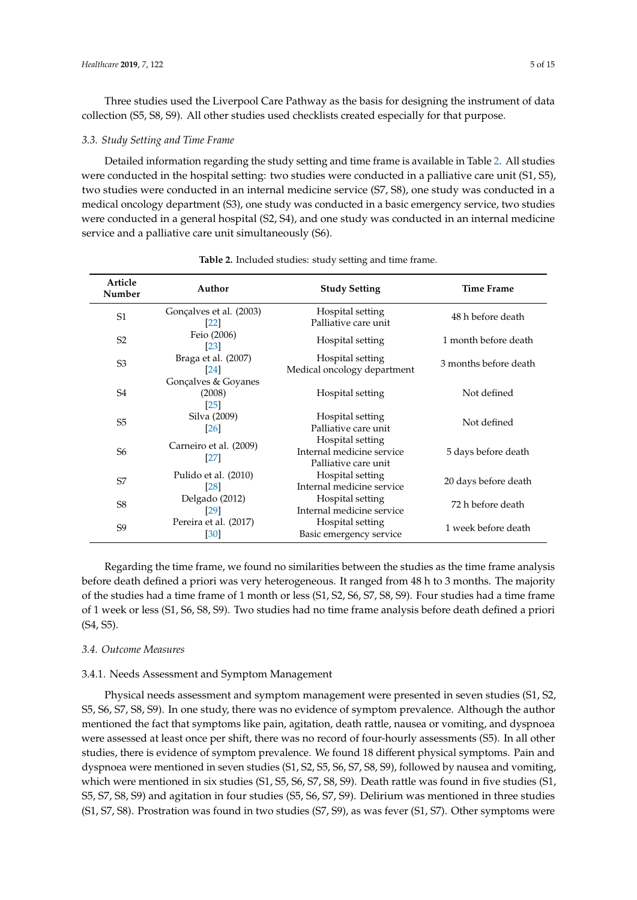Three studies used the Liverpool Care Pathway as the basis for designing the instrument of data collection (S5, S8, S9). All other studies used checklists created especially for that purpose.

### *3.3. Study Setting and Time Frame*

Detailed information regarding the study setting and time frame is available in Table [2.](#page-4-0) All studies were conducted in the hospital setting: two studies were conducted in a palliative care unit (S1, S5), two studies were conducted in an internal medicine service (S7, S8), one study was conducted in a medical oncology department (S3), one study was conducted in a basic emergency service, two studies were conducted in a general hospital (S2, S4), and one study was conducted in an internal medicine service and a palliative care unit simultaneously (S6).

<span id="page-4-0"></span>

| Article<br>Number | Author                                              | <b>Study Setting</b>                                                  | <b>Time Frame</b>     |  |  |
|-------------------|-----------------------------------------------------|-----------------------------------------------------------------------|-----------------------|--|--|
| S <sub>1</sub>    | Gonçalves et al. (2003)<br><b>22</b>                | Hospital setting<br>Palliative care unit                              | 48 h before death     |  |  |
| S <sub>2</sub>    | Feio (2006)<br>$\left[23\right]$                    | Hospital setting                                                      | 1 month before death  |  |  |
| S <sub>3</sub>    | Braga et al. (2007)<br>$\lceil 24 \rceil$           | Hospital setting<br>Medical oncology department                       | 3 months before death |  |  |
| S <sub>4</sub>    | Gonçalves & Goyanes<br>(2008)<br>$\lceil 25 \rceil$ | Hospital setting                                                      | Not defined           |  |  |
| S <sub>5</sub>    | Silva (2009)<br>$\lceil 26 \rceil$                  | Hospital setting<br>Palliative care unit                              | Not defined           |  |  |
| S <sub>6</sub>    | Carneiro et al. (2009)<br>[27]                      | Hospital setting<br>Internal medicine service<br>Palliative care unit | 5 days before death   |  |  |
| S7                | Pulido et al. (2010)<br>$[28]$                      | Hospital setting<br>Internal medicine service                         | 20 days before death  |  |  |
| S <sub>8</sub>    | Delgado (2012)<br>[29]                              | Hospital setting<br>Internal medicine service                         | 72 h before death     |  |  |
| S <sub>9</sub>    | Pereira et al. (2017)<br>[30]                       | Hospital setting<br>Basic emergency service                           | 1 week before death   |  |  |

**Table 2.** Included studies: study setting and time frame.

Regarding the time frame, we found no similarities between the studies as the time frame analysis before death defined a priori was very heterogeneous. It ranged from 48 h to 3 months. The majority of the studies had a time frame of 1 month or less (S1, S2, S6, S7, S8, S9). Four studies had a time frame of 1 week or less (S1, S6, S8, S9). Two studies had no time frame analysis before death defined a priori (S4, S5).

#### *3.4. Outcome Measures*

## 3.4.1. Needs Assessment and Symptom Management

Physical needs assessment and symptom management were presented in seven studies (S1, S2, S5, S6, S7, S8, S9). In one study, there was no evidence of symptom prevalence. Although the author mentioned the fact that symptoms like pain, agitation, death rattle, nausea or vomiting, and dyspnoea were assessed at least once per shift, there was no record of four-hourly assessments (S5). In all other studies, there is evidence of symptom prevalence. We found 18 different physical symptoms. Pain and dyspnoea were mentioned in seven studies (S1, S2, S5, S6, S7, S8, S9), followed by nausea and vomiting, which were mentioned in six studies (S1, S5, S6, S7, S8, S9). Death rattle was found in five studies (S1, S5, S7, S8, S9) and agitation in four studies (S5, S6, S7, S9). Delirium was mentioned in three studies (S1, S7, S8). Prostration was found in two studies (S7, S9), as was fever (S1, S7). Other symptoms were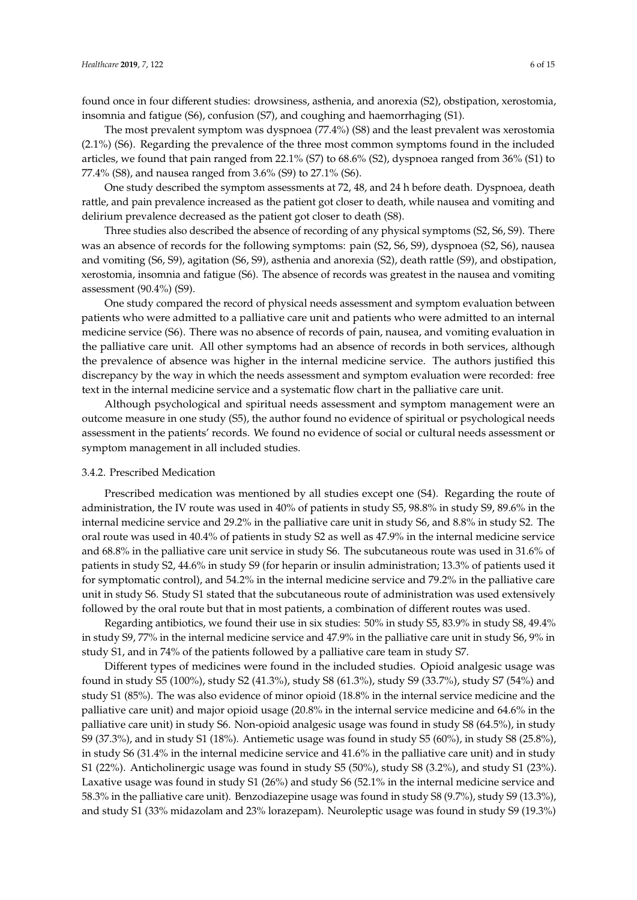found once in four different studies: drowsiness, asthenia, and anorexia (S2), obstipation, xerostomia, insomnia and fatigue (S6), confusion (S7), and coughing and haemorrhaging (S1).

The most prevalent symptom was dyspnoea (77.4%) (S8) and the least prevalent was xerostomia (2.1%) (S6). Regarding the prevalence of the three most common symptoms found in the included articles, we found that pain ranged from 22.1% (S7) to 68.6% (S2), dyspnoea ranged from 36% (S1) to 77.4% (S8), and nausea ranged from 3.6% (S9) to 27.1% (S6).

One study described the symptom assessments at 72, 48, and 24 h before death. Dyspnoea, death rattle, and pain prevalence increased as the patient got closer to death, while nausea and vomiting and delirium prevalence decreased as the patient got closer to death (S8).

Three studies also described the absence of recording of any physical symptoms (S2, S6, S9). There was an absence of records for the following symptoms: pain (S2, S6, S9), dyspnoea (S2, S6), nausea and vomiting (S6, S9), agitation (S6, S9), asthenia and anorexia (S2), death rattle (S9), and obstipation, xerostomia, insomnia and fatigue (S6). The absence of records was greatest in the nausea and vomiting assessment (90.4%) (S9).

One study compared the record of physical needs assessment and symptom evaluation between patients who were admitted to a palliative care unit and patients who were admitted to an internal medicine service (S6). There was no absence of records of pain, nausea, and vomiting evaluation in the palliative care unit. All other symptoms had an absence of records in both services, although the prevalence of absence was higher in the internal medicine service. The authors justified this discrepancy by the way in which the needs assessment and symptom evaluation were recorded: free text in the internal medicine service and a systematic flow chart in the palliative care unit.

Although psychological and spiritual needs assessment and symptom management were an outcome measure in one study (S5), the author found no evidence of spiritual or psychological needs assessment in the patients' records. We found no evidence of social or cultural needs assessment or symptom management in all included studies.

# 3.4.2. Prescribed Medication

Prescribed medication was mentioned by all studies except one (S4). Regarding the route of administration, the IV route was used in 40% of patients in study S5, 98.8% in study S9, 89.6% in the internal medicine service and 29.2% in the palliative care unit in study S6, and 8.8% in study S2. The oral route was used in 40.4% of patients in study S2 as well as 47.9% in the internal medicine service and 68.8% in the palliative care unit service in study S6. The subcutaneous route was used in 31.6% of patients in study S2, 44.6% in study S9 (for heparin or insulin administration; 13.3% of patients used it for symptomatic control), and 54.2% in the internal medicine service and 79.2% in the palliative care unit in study S6. Study S1 stated that the subcutaneous route of administration was used extensively followed by the oral route but that in most patients, a combination of different routes was used.

Regarding antibiotics, we found their use in six studies: 50% in study S5, 83.9% in study S8, 49.4% in study S9, 77% in the internal medicine service and 47.9% in the palliative care unit in study S6, 9% in study S1, and in 74% of the patients followed by a palliative care team in study S7.

Different types of medicines were found in the included studies. Opioid analgesic usage was found in study S5 (100%), study S2 (41.3%), study S8 (61.3%), study S9 (33.7%), study S7 (54%) and study S1 (85%). The was also evidence of minor opioid (18.8% in the internal service medicine and the palliative care unit) and major opioid usage (20.8% in the internal service medicine and 64.6% in the palliative care unit) in study S6. Non-opioid analgesic usage was found in study S8 (64.5%), in study S9 (37.3%), and in study S1 (18%). Antiemetic usage was found in study S5 (60%), in study S8 (25.8%), in study S6 (31.4% in the internal medicine service and 41.6% in the palliative care unit) and in study S1 (22%). Anticholinergic usage was found in study S5 (50%), study S8 (3.2%), and study S1 (23%). Laxative usage was found in study S1 (26%) and study S6 (52.1% in the internal medicine service and 58.3% in the palliative care unit). Benzodiazepine usage was found in study S8 (9.7%), study S9 (13.3%), and study S1 (33% midazolam and 23% lorazepam). Neuroleptic usage was found in study S9 (19.3%)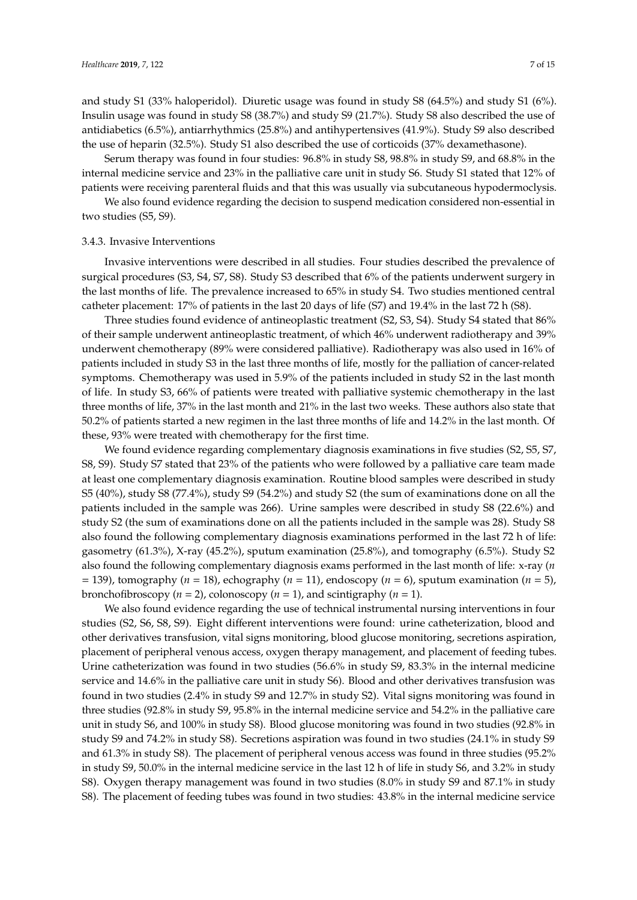and study S1 (33% haloperidol). Diuretic usage was found in study S8 (64.5%) and study S1 (6%). Insulin usage was found in study S8 (38.7%) and study S9 (21.7%). Study S8 also described the use of antidiabetics (6.5%), antiarrhythmics (25.8%) and antihypertensives (41.9%). Study S9 also described the use of heparin (32.5%). Study S1 also described the use of corticoids (37% dexamethasone).

Serum therapy was found in four studies: 96.8% in study S8, 98.8% in study S9, and 68.8% in the internal medicine service and 23% in the palliative care unit in study S6. Study S1 stated that 12% of patients were receiving parenteral fluids and that this was usually via subcutaneous hypodermoclysis.

We also found evidence regarding the decision to suspend medication considered non-essential in two studies (S5, S9).

#### 3.4.3. Invasive Interventions

Invasive interventions were described in all studies. Four studies described the prevalence of surgical procedures (S3, S4, S7, S8). Study S3 described that 6% of the patients underwent surgery in the last months of life. The prevalence increased to 65% in study S4. Two studies mentioned central catheter placement: 17% of patients in the last 20 days of life (S7) and 19.4% in the last 72 h (S8).

Three studies found evidence of antineoplastic treatment (S2, S3, S4). Study S4 stated that 86% of their sample underwent antineoplastic treatment, of which 46% underwent radiotherapy and 39% underwent chemotherapy (89% were considered palliative). Radiotherapy was also used in 16% of patients included in study S3 in the last three months of life, mostly for the palliation of cancer-related symptoms. Chemotherapy was used in 5.9% of the patients included in study S2 in the last month of life. In study S3, 66% of patients were treated with palliative systemic chemotherapy in the last three months of life, 37% in the last month and 21% in the last two weeks. These authors also state that 50.2% of patients started a new regimen in the last three months of life and 14.2% in the last month. Of these, 93% were treated with chemotherapy for the first time.

We found evidence regarding complementary diagnosis examinations in five studies (S2, S5, S7, S8, S9). Study S7 stated that 23% of the patients who were followed by a palliative care team made at least one complementary diagnosis examination. Routine blood samples were described in study S5 (40%), study S8 (77.4%), study S9 (54.2%) and study S2 (the sum of examinations done on all the patients included in the sample was 266). Urine samples were described in study S8 (22.6%) and study S2 (the sum of examinations done on all the patients included in the sample was 28). Study S8 also found the following complementary diagnosis examinations performed in the last 72 h of life: gasometry (61.3%), X-ray (45.2%), sputum examination (25.8%), and tomography (6.5%). Study S2 also found the following complementary diagnosis exams performed in the last month of life: x-ray (*n* = 139), tomography (*n* = 18), echography (*n* = 11), endoscopy (*n* = 6), sputum examination (*n* = 5), bronchofibroscopy  $(n = 2)$ , colonoscopy  $(n = 1)$ , and scintigraphy  $(n = 1)$ .

We also found evidence regarding the use of technical instrumental nursing interventions in four studies (S2, S6, S8, S9). Eight different interventions were found: urine catheterization, blood and other derivatives transfusion, vital signs monitoring, blood glucose monitoring, secretions aspiration, placement of peripheral venous access, oxygen therapy management, and placement of feeding tubes. Urine catheterization was found in two studies (56.6% in study S9, 83.3% in the internal medicine service and 14.6% in the palliative care unit in study S6). Blood and other derivatives transfusion was found in two studies (2.4% in study S9 and 12.7% in study S2). Vital signs monitoring was found in three studies (92.8% in study S9, 95.8% in the internal medicine service and 54.2% in the palliative care unit in study S6, and 100% in study S8). Blood glucose monitoring was found in two studies (92.8% in study S9 and 74.2% in study S8). Secretions aspiration was found in two studies (24.1% in study S9 and 61.3% in study S8). The placement of peripheral venous access was found in three studies (95.2% in study S9, 50.0% in the internal medicine service in the last 12 h of life in study S6, and 3.2% in study S8). Oxygen therapy management was found in two studies (8.0% in study S9 and 87.1% in study S8). The placement of feeding tubes was found in two studies: 43.8% in the internal medicine service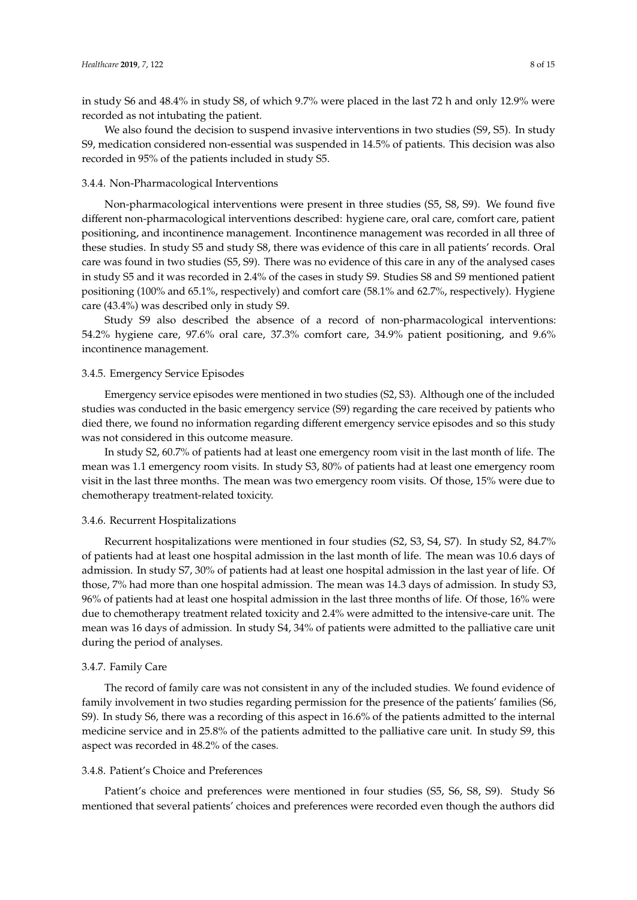in study S6 and 48.4% in study S8, of which 9.7% were placed in the last 72 h and only 12.9% were recorded as not intubating the patient.

We also found the decision to suspend invasive interventions in two studies (S9, S5). In study S9, medication considered non-essential was suspended in 14.5% of patients. This decision was also recorded in 95% of the patients included in study S5.

#### 3.4.4. Non-Pharmacological Interventions

Non-pharmacological interventions were present in three studies (S5, S8, S9). We found five different non-pharmacological interventions described: hygiene care, oral care, comfort care, patient positioning, and incontinence management. Incontinence management was recorded in all three of these studies. In study S5 and study S8, there was evidence of this care in all patients' records. Oral care was found in two studies (S5, S9). There was no evidence of this care in any of the analysed cases in study S5 and it was recorded in 2.4% of the cases in study S9. Studies S8 and S9 mentioned patient positioning (100% and 65.1%, respectively) and comfort care (58.1% and 62.7%, respectively). Hygiene care (43.4%) was described only in study S9.

Study S9 also described the absence of a record of non-pharmacological interventions: 54.2% hygiene care, 97.6% oral care, 37.3% comfort care, 34.9% patient positioning, and 9.6% incontinence management.

#### 3.4.5. Emergency Service Episodes

Emergency service episodes were mentioned in two studies (S2, S3). Although one of the included studies was conducted in the basic emergency service (S9) regarding the care received by patients who died there, we found no information regarding different emergency service episodes and so this study was not considered in this outcome measure.

In study S2, 60.7% of patients had at least one emergency room visit in the last month of life. The mean was 1.1 emergency room visits. In study S3, 80% of patients had at least one emergency room visit in the last three months. The mean was two emergency room visits. Of those, 15% were due to chemotherapy treatment-related toxicity.

#### 3.4.6. Recurrent Hospitalizations

Recurrent hospitalizations were mentioned in four studies (S2, S3, S4, S7). In study S2, 84.7% of patients had at least one hospital admission in the last month of life. The mean was 10.6 days of admission. In study S7, 30% of patients had at least one hospital admission in the last year of life. Of those, 7% had more than one hospital admission. The mean was 14.3 days of admission. In study S3, 96% of patients had at least one hospital admission in the last three months of life. Of those, 16% were due to chemotherapy treatment related toxicity and 2.4% were admitted to the intensive-care unit. The mean was 16 days of admission. In study S4, 34% of patients were admitted to the palliative care unit during the period of analyses.

#### 3.4.7. Family Care

The record of family care was not consistent in any of the included studies. We found evidence of family involvement in two studies regarding permission for the presence of the patients' families (S6, S9). In study S6, there was a recording of this aspect in 16.6% of the patients admitted to the internal medicine service and in 25.8% of the patients admitted to the palliative care unit. In study S9, this aspect was recorded in 48.2% of the cases.

# 3.4.8. Patient's Choice and Preferences

Patient's choice and preferences were mentioned in four studies (S5, S6, S8, S9). Study S6 mentioned that several patients' choices and preferences were recorded even though the authors did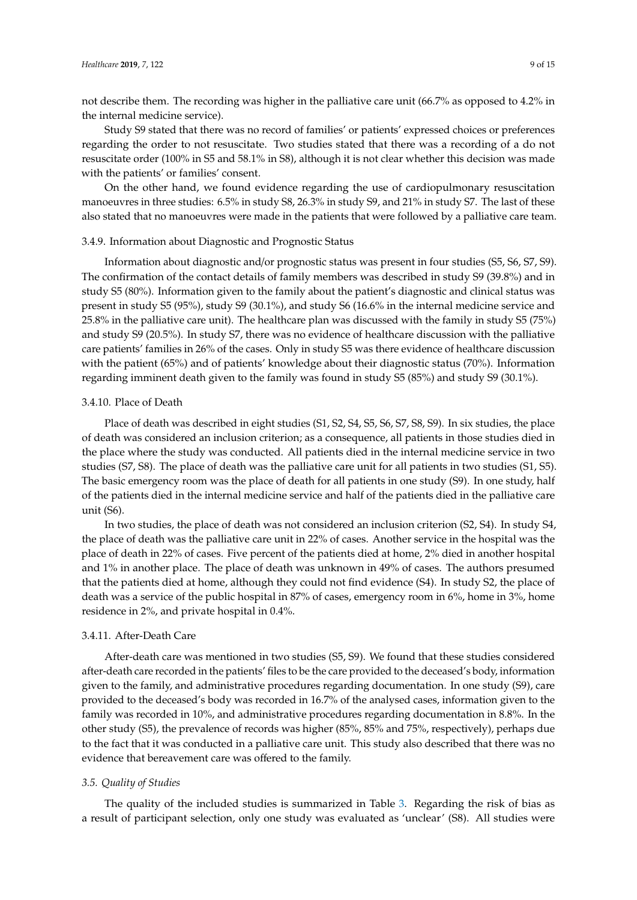not describe them. The recording was higher in the palliative care unit (66.7% as opposed to 4.2% in the internal medicine service).

Study S9 stated that there was no record of families' or patients' expressed choices or preferences regarding the order to not resuscitate. Two studies stated that there was a recording of a do not resuscitate order (100% in S5 and 58.1% in S8), although it is not clear whether this decision was made with the patients' or families' consent.

On the other hand, we found evidence regarding the use of cardiopulmonary resuscitation manoeuvres in three studies: 6.5% in study S8, 26.3% in study S9, and 21% in study S7. The last of these also stated that no manoeuvres were made in the patients that were followed by a palliative care team.

#### 3.4.9. Information about Diagnostic and Prognostic Status

Information about diagnostic and/or prognostic status was present in four studies (S5, S6, S7, S9). The confirmation of the contact details of family members was described in study S9 (39.8%) and in study S5 (80%). Information given to the family about the patient's diagnostic and clinical status was present in study S5 (95%), study S9 (30.1%), and study S6 (16.6% in the internal medicine service and 25.8% in the palliative care unit). The healthcare plan was discussed with the family in study S5 (75%) and study S9 (20.5%). In study S7, there was no evidence of healthcare discussion with the palliative care patients' families in 26% of the cases. Only in study S5 was there evidence of healthcare discussion with the patient (65%) and of patients' knowledge about their diagnostic status (70%). Information regarding imminent death given to the family was found in study S5 (85%) and study S9 (30.1%).

# 3.4.10. Place of Death

Place of death was described in eight studies (S1, S2, S4, S5, S6, S7, S8, S9). In six studies, the place of death was considered an inclusion criterion; as a consequence, all patients in those studies died in the place where the study was conducted. All patients died in the internal medicine service in two studies (S7, S8). The place of death was the palliative care unit for all patients in two studies (S1, S5). The basic emergency room was the place of death for all patients in one study (S9). In one study, half of the patients died in the internal medicine service and half of the patients died in the palliative care unit (S6).

In two studies, the place of death was not considered an inclusion criterion (S2, S4). In study S4, the place of death was the palliative care unit in 22% of cases. Another service in the hospital was the place of death in 22% of cases. Five percent of the patients died at home, 2% died in another hospital and 1% in another place. The place of death was unknown in 49% of cases. The authors presumed that the patients died at home, although they could not find evidence (S4). In study S2, the place of death was a service of the public hospital in 87% of cases, emergency room in 6%, home in 3%, home residence in 2%, and private hospital in 0.4%.

# 3.4.11. After-Death Care

After-death care was mentioned in two studies (S5, S9). We found that these studies considered after-death care recorded in the patients' files to be the care provided to the deceased's body, information given to the family, and administrative procedures regarding documentation. In one study (S9), care provided to the deceased's body was recorded in 16.7% of the analysed cases, information given to the family was recorded in 10%, and administrative procedures regarding documentation in 8.8%. In the other study (S5), the prevalence of records was higher (85%, 85% and 75%, respectively), perhaps due to the fact that it was conducted in a palliative care unit. This study also described that there was no evidence that bereavement care was offered to the family.

# *3.5. Quality of Studies*

The quality of the included studies is summarized in Table [3.](#page-9-0) Regarding the risk of bias as a result of participant selection, only one study was evaluated as 'unclear' (S8). All studies were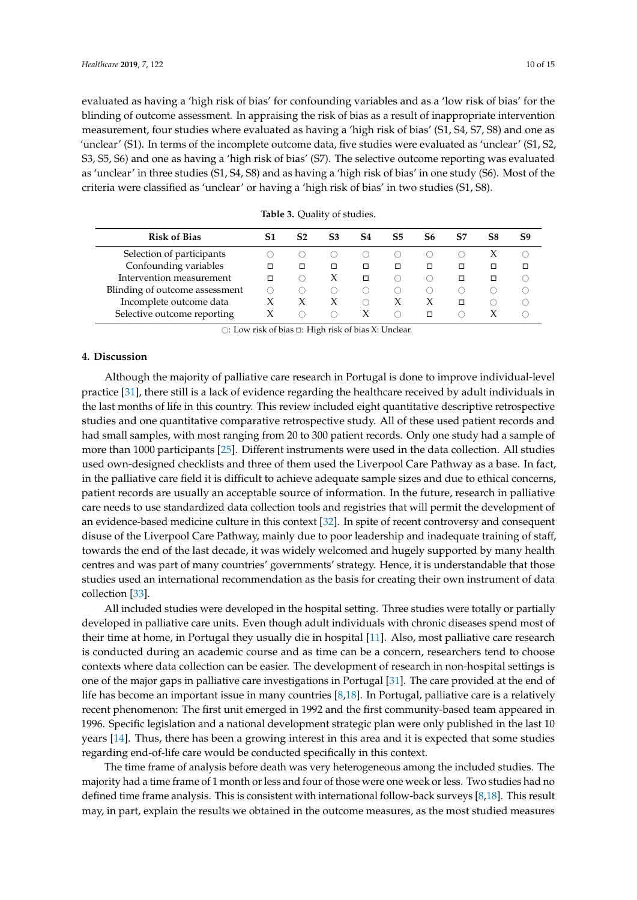evaluated as having a 'high risk of bias' for confounding variables and as a 'low risk of bias' for the blinding of outcome assessment. In appraising the risk of bias as a result of inappropriate intervention measurement, four studies where evaluated as having a 'high risk of bias' (S1, S4, S7, S8) and one as 'unclear' (S1). In terms of the incomplete outcome data, five studies were evaluated as 'unclear' (S1, S2, S3, S5, S6) and one as having a 'high risk of bias' (S7). The selective outcome reporting was evaluated as 'unclear' in three studies (S1, S4, S8) and as having a 'high risk of bias' in one study (S6). Most of the criteria were classified as 'unclear' or having a 'high risk of bias' in two studies (S1, S8).

<span id="page-9-0"></span>

| <b>Risk of Bias</b>            | S2 | S3                                            | S4  | S5 | S6 |   | S8 | S9 |
|--------------------------------|----|-----------------------------------------------|-----|----|----|---|----|----|
| Selection of participants      |    |                                               |     |    |    |   |    |    |
| Confounding variables          | □  | □                                             | п   |    | □  |   |    |    |
| Intervention measurement       |    |                                               | п   |    |    | п | □  |    |
| Blinding of outcome assessment |    | $\left( \begin{array}{c} \end{array} \right)$ | (   |    |    |   |    |    |
| Incomplete outcome data        |    | Х                                             | ( ) |    | X  | □ |    |    |
| Selective outcome reporting    |    | ( )                                           | X   |    | п  |   |    |    |

**Table 3.** Quality of studies.

 $\bigcirc$ : Low risk of bias  $\Box$ : High risk of bias X: Unclear.

# **4. Discussion**

Although the majority of palliative care research in Portugal is done to improve individual-level practice [\[31\]](#page-13-11), there still is a lack of evidence regarding the healthcare received by adult individuals in the last months of life in this country. This review included eight quantitative descriptive retrospective studies and one quantitative comparative retrospective study. All of these used patient records and had small samples, with most ranging from 20 to 300 patient records. Only one study had a sample of more than 1000 participants [\[25\]](#page-13-5). Different instruments were used in the data collection. All studies used own-designed checklists and three of them used the Liverpool Care Pathway as a base. In fact, in the palliative care field it is difficult to achieve adequate sample sizes and due to ethical concerns, patient records are usually an acceptable source of information. In the future, research in palliative care needs to use standardized data collection tools and registries that will permit the development of an evidence-based medicine culture in this context [\[32\]](#page-13-12). In spite of recent controversy and consequent disuse of the Liverpool Care Pathway, mainly due to poor leadership and inadequate training of staff, towards the end of the last decade, it was widely welcomed and hugely supported by many health centres and was part of many countries' governments' strategy. Hence, it is understandable that those studies used an international recommendation as the basis for creating their own instrument of data collection [\[33\]](#page-13-13).

All included studies were developed in the hospital setting. Three studies were totally or partially developed in palliative care units. Even though adult individuals with chronic diseases spend most of their time at home, in Portugal they usually die in hospital [\[11\]](#page-12-10). Also, most palliative care research is conducted during an academic course and as time can be a concern, researchers tend to choose contexts where data collection can be easier. The development of research in non-hospital settings is one of the major gaps in palliative care investigations in Portugal [\[31\]](#page-13-11). The care provided at the end of life has become an important issue in many countries [\[8](#page-12-7)[,18\]](#page-12-17). In Portugal, palliative care is a relatively recent phenomenon: The first unit emerged in 1992 and the first community-based team appeared in 1996. Specific legislation and a national development strategic plan were only published in the last 10 years [\[14\]](#page-12-13). Thus, there has been a growing interest in this area and it is expected that some studies regarding end-of-life care would be conducted specifically in this context.

The time frame of analysis before death was very heterogeneous among the included studies. The majority had a time frame of 1 month or less and four of those were one week or less. Two studies had no defined time frame analysis. This is consistent with international follow-back surveys [\[8,](#page-12-7)[18\]](#page-12-17). This result may, in part, explain the results we obtained in the outcome measures, as the most studied measures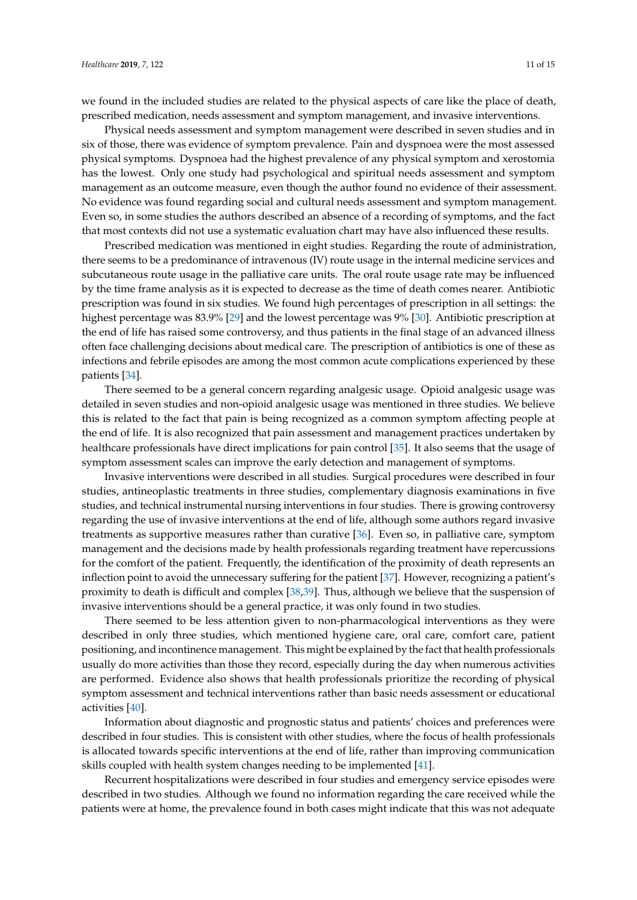we found in the included studies are related to the physical aspects of care like the place of death, prescribed medication, needs assessment and symptom management, and invasive interventions.

Physical needs assessment and symptom management were described in seven studies and in six of those, there was evidence of symptom prevalence. Pain and dyspnoea were the most assessed physical symptoms. Dyspnoea had the highest prevalence of any physical symptom and xerostomia has the lowest. Only one study had psychological and spiritual needs assessment and symptom management as an outcome measure, even though the author found no evidence of their assessment. No evidence was found regarding social and cultural needs assessment and symptom management. Even so, in some studies the authors described an absence of a recording of symptoms, and the fact that most contexts did not use a systematic evaluation chart may have also influenced these results.

Prescribed medication was mentioned in eight studies. Regarding the route of administration, there seems to be a predominance of intravenous (IV) route usage in the internal medicine services and subcutaneous route usage in the palliative care units. The oral route usage rate may be influenced by the time frame analysis as it is expected to decrease as the time of death comes nearer. Antibiotic prescription was found in six studies. We found high percentages of prescription in all settings: the highest percentage was 83.9% [\[29\]](#page-13-9) and the lowest percentage was 9% [\[30\]](#page-13-10). Antibiotic prescription at the end of life has raised some controversy, and thus patients in the final stage of an advanced illness often face challenging decisions about medical care. The prescription of antibiotics is one of these as infections and febrile episodes are among the most common acute complications experienced by these patients [\[34\]](#page-13-14).

There seemed to be a general concern regarding analgesic usage. Opioid analgesic usage was detailed in seven studies and non-opioid analgesic usage was mentioned in three studies. We believe this is related to the fact that pain is being recognized as a common symptom affecting people at the end of life. It is also recognized that pain assessment and management practices undertaken by healthcare professionals have direct implications for pain control [\[35\]](#page-13-15). It also seems that the usage of symptom assessment scales can improve the early detection and management of symptoms.

Invasive interventions were described in all studies. Surgical procedures were described in four studies, antineoplastic treatments in three studies, complementary diagnosis examinations in five studies, and technical instrumental nursing interventions in four studies. There is growing controversy regarding the use of invasive interventions at the end of life, although some authors regard invasive treatments as supportive measures rather than curative [\[36\]](#page-13-16). Even so, in palliative care, symptom management and the decisions made by health professionals regarding treatment have repercussions for the comfort of the patient. Frequently, the identification of the proximity of death represents an inflection point to avoid the unnecessary suffering for the patient [\[37\]](#page-13-17). However, recognizing a patient's proximity to death is difficult and complex [\[38](#page-13-18)[,39\]](#page-13-19). Thus, although we believe that the suspension of invasive interventions should be a general practice, it was only found in two studies.

There seemed to be less attention given to non-pharmacological interventions as they were described in only three studies, which mentioned hygiene care, oral care, comfort care, patient positioning, and incontinence management. This might be explained by the fact that health professionals usually do more activities than those they record, especially during the day when numerous activities are performed. Evidence also shows that health professionals prioritize the recording of physical symptom assessment and technical interventions rather than basic needs assessment or educational activities [\[40\]](#page-13-20).

Information about diagnostic and prognostic status and patients' choices and preferences were described in four studies. This is consistent with other studies, where the focus of health professionals is allocated towards specific interventions at the end of life, rather than improving communication skills coupled with health system changes needing to be implemented [\[41\]](#page-13-21).

Recurrent hospitalizations were described in four studies and emergency service episodes were described in two studies. Although we found no information regarding the care received while the patients were at home, the prevalence found in both cases might indicate that this was not adequate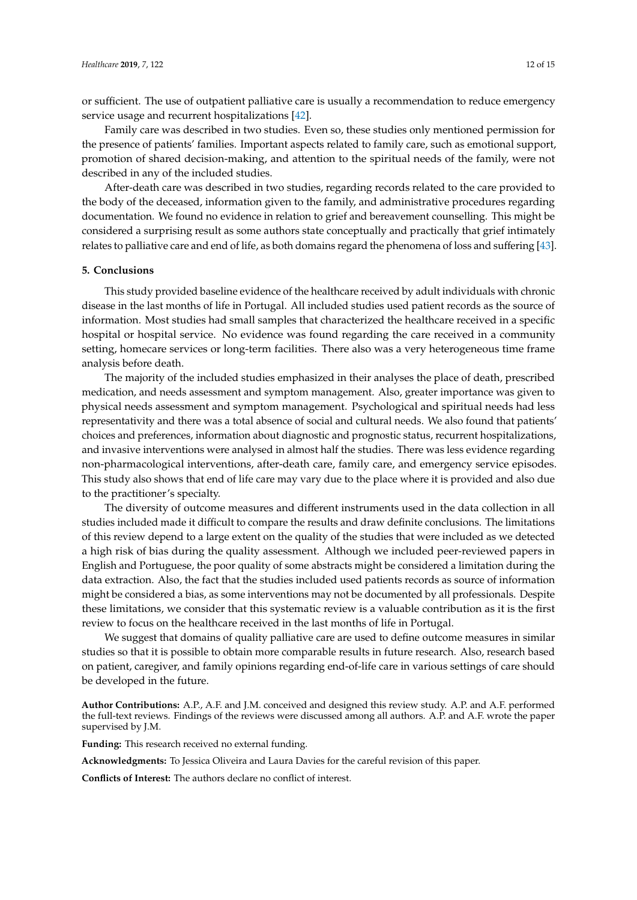or sufficient. The use of outpatient palliative care is usually a recommendation to reduce emergency service usage and recurrent hospitalizations [\[42\]](#page-14-0).

Family care was described in two studies. Even so, these studies only mentioned permission for the presence of patients' families. Important aspects related to family care, such as emotional support, promotion of shared decision-making, and attention to the spiritual needs of the family, were not described in any of the included studies.

After-death care was described in two studies, regarding records related to the care provided to the body of the deceased, information given to the family, and administrative procedures regarding documentation. We found no evidence in relation to grief and bereavement counselling. This might be considered a surprising result as some authors state conceptually and practically that grief intimately relates to palliative care and end of life, as both domains regard the phenomena of loss and suffering [\[43\]](#page-14-1).

# **5. Conclusions**

This study provided baseline evidence of the healthcare received by adult individuals with chronic disease in the last months of life in Portugal. All included studies used patient records as the source of information. Most studies had small samples that characterized the healthcare received in a specific hospital or hospital service. No evidence was found regarding the care received in a community setting, homecare services or long-term facilities. There also was a very heterogeneous time frame analysis before death.

The majority of the included studies emphasized in their analyses the place of death, prescribed medication, and needs assessment and symptom management. Also, greater importance was given to physical needs assessment and symptom management. Psychological and spiritual needs had less representativity and there was a total absence of social and cultural needs. We also found that patients' choices and preferences, information about diagnostic and prognostic status, recurrent hospitalizations, and invasive interventions were analysed in almost half the studies. There was less evidence regarding non-pharmacological interventions, after-death care, family care, and emergency service episodes. This study also shows that end of life care may vary due to the place where it is provided and also due to the practitioner's specialty.

The diversity of outcome measures and different instruments used in the data collection in all studies included made it difficult to compare the results and draw definite conclusions. The limitations of this review depend to a large extent on the quality of the studies that were included as we detected a high risk of bias during the quality assessment. Although we included peer-reviewed papers in English and Portuguese, the poor quality of some abstracts might be considered a limitation during the data extraction. Also, the fact that the studies included used patients records as source of information might be considered a bias, as some interventions may not be documented by all professionals. Despite these limitations, we consider that this systematic review is a valuable contribution as it is the first review to focus on the healthcare received in the last months of life in Portugal.

We suggest that domains of quality palliative care are used to define outcome measures in similar studies so that it is possible to obtain more comparable results in future research. Also, research based on patient, caregiver, and family opinions regarding end-of-life care in various settings of care should be developed in the future.

**Author Contributions:** A.P., A.F. and J.M. conceived and designed this review study. A.P. and A.F. performed the full-text reviews. Findings of the reviews were discussed among all authors. A.P. and A.F. wrote the paper supervised by J.M.

**Funding:** This research received no external funding.

**Acknowledgments:** To Jessica Oliveira and Laura Davies for the careful revision of this paper.

**Conflicts of Interest:** The authors declare no conflict of interest.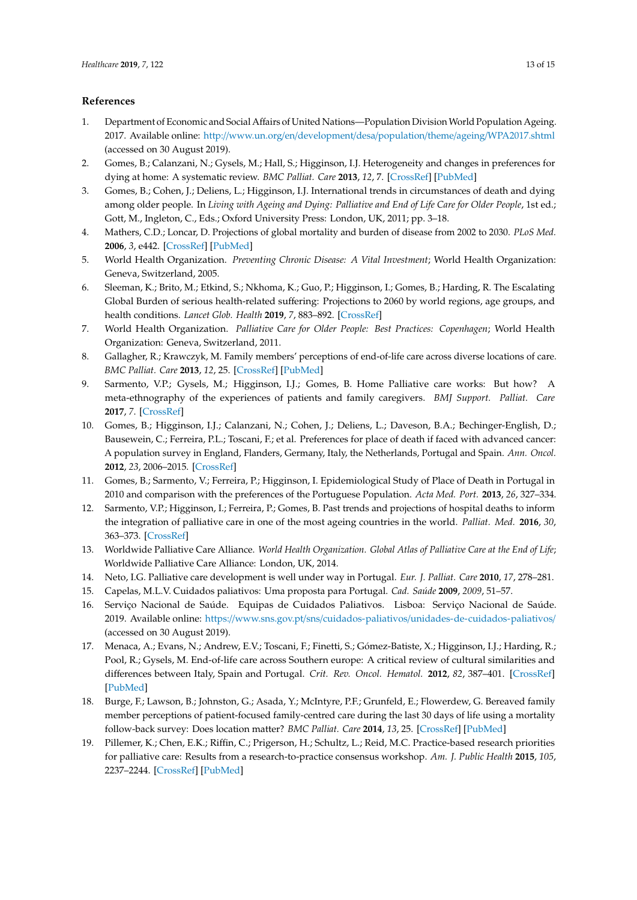# **References**

- <span id="page-12-0"></span>1. Department of Economic and Social Affairs of United Nations—Population DivisionWorld Population Ageing. 2017. Available online: http://www.un.org/en/development/desa/population/theme/ageing/[WPA2017.shtml](http://www.un.org/en/development/desa/population/theme/ageing/WPA2017.shtml) (accessed on 30 August 2019).
- <span id="page-12-1"></span>2. Gomes, B.; Calanzani, N.; Gysels, M.; Hall, S.; Higginson, I.J. Heterogeneity and changes in preferences for dying at home: A systematic review. *BMC Palliat. Care* **2013**, *12*, 7. [\[CrossRef\]](http://dx.doi.org/10.1186/1472-684X-12-7) [\[PubMed\]](http://www.ncbi.nlm.nih.gov/pubmed/23414145)
- <span id="page-12-2"></span>3. Gomes, B.; Cohen, J.; Deliens, L.; Higginson, I.J. International trends in circumstances of death and dying among older people. In *Living with Ageing and Dying: Palliative and End of Life Care for Older People*, 1st ed.; Gott, M., Ingleton, C., Eds.; Oxford University Press: London, UK, 2011; pp. 3–18.
- <span id="page-12-3"></span>4. Mathers, C.D.; Loncar, D. Projections of global mortality and burden of disease from 2002 to 2030. *PLoS Med.* **2006**, *3*, e442. [\[CrossRef\]](http://dx.doi.org/10.1371/journal.pmed.0030442) [\[PubMed\]](http://www.ncbi.nlm.nih.gov/pubmed/17132052)
- <span id="page-12-4"></span>5. World Health Organization. *Preventing Chronic Disease: A Vital Investment*; World Health Organization: Geneva, Switzerland, 2005.
- <span id="page-12-5"></span>6. Sleeman, K.; Brito, M.; Etkind, S.; Nkhoma, K.; Guo, P.; Higginson, I.; Gomes, B.; Harding, R. The Escalating Global Burden of serious health-related suffering: Projections to 2060 by world regions, age groups, and health conditions. *Lancet Glob. Health* **2019**, *7*, 883–892. [\[CrossRef\]](http://dx.doi.org/10.1016/S2214-109X(19)30172-X)
- <span id="page-12-6"></span>7. World Health Organization. *Palliative Care for Older People: Best Practices: Copenhagen*; World Health Organization: Geneva, Switzerland, 2011.
- <span id="page-12-7"></span>8. Gallagher, R.; Krawczyk, M. Family members' perceptions of end-of-life care across diverse locations of care. *BMC Palliat. Care* **2013**, *12*, 25. [\[CrossRef\]](http://dx.doi.org/10.1186/1472-684X-12-25) [\[PubMed\]](http://www.ncbi.nlm.nih.gov/pubmed/23870101)
- <span id="page-12-8"></span>9. Sarmento, V.P.; Gysels, M.; Higginson, I.J.; Gomes, B. Home Palliative care works: But how? A meta-ethnography of the experiences of patients and family caregivers. *BMJ Support. Palliat. Care* **2017**, *7*. [\[CrossRef\]](http://dx.doi.org/10.1136/bmjspcare-2016-001141)
- <span id="page-12-9"></span>10. Gomes, B.; Higginson, I.J.; Calanzani, N.; Cohen, J.; Deliens, L.; Daveson, B.A.; Bechinger-English, D.; Bausewein, C.; Ferreira, P.L.; Toscani, F.; et al. Preferences for place of death if faced with advanced cancer: A population survey in England, Flanders, Germany, Italy, the Netherlands, Portugal and Spain. *Ann. Oncol.* **2012**, *23*, 2006–2015. [\[CrossRef\]](http://dx.doi.org/10.1093/annonc/mdr602)
- <span id="page-12-10"></span>11. Gomes, B.; Sarmento, V.; Ferreira, P.; Higginson, I. Epidemiological Study of Place of Death in Portugal in 2010 and comparison with the preferences of the Portuguese Population. *Acta Med. Port.* **2013**, *26*, 327–334.
- <span id="page-12-11"></span>12. Sarmento, V.P.; Higginson, I.; Ferreira, P.; Gomes, B. Past trends and projections of hospital deaths to inform the integration of palliative care in one of the most ageing countries in the world. *Palliat. Med.* **2016**, *30*, 363–373. [\[CrossRef\]](http://dx.doi.org/10.1177/0269216315594974)
- <span id="page-12-12"></span>13. Worldwide Palliative Care Alliance. *World Health Organization. Global Atlas of Palliative Care at the End of Life*; Worldwide Palliative Care Alliance: London, UK, 2014.
- <span id="page-12-13"></span>14. Neto, I.G. Palliative care development is well under way in Portugal. *Eur. J. Palliat. Care* **2010**, *17*, 278–281.
- <span id="page-12-14"></span>15. Capelas, M.L.V. Cuidados paliativos: Uma proposta para Portugal. *Cad. Saúde* **2009**, *2009*, 51–57.
- <span id="page-12-15"></span>16. Serviço Nacional de Saúde. Equipas de Cuidados Paliativos. Lisboa: Serviço Nacional de Saúde. 2019. Available online: https://www.sns.gov.pt/sns/cuidados-paliativos/[unidades-de-cuidados-paliativos](https://www.sns.gov.pt/sns/cuidados-paliativos/unidades-de-cuidados-paliativos/)/ (accessed on 30 August 2019).
- <span id="page-12-16"></span>17. Menaca, A.; Evans, N.; Andrew, E.V.; Toscani, F.; Finetti, S.; Gómez-Batiste, X.; Higginson, I.J.; Harding, R.; Pool, R.; Gysels, M. End-of-life care across Southern europe: A critical review of cultural similarities and differences between Italy, Spain and Portugal. *Crit. Rev. Oncol. Hematol.* **2012**, *82*, 387–401. [\[CrossRef\]](http://dx.doi.org/10.1016/j.critrevonc.2011.06.002) [\[PubMed\]](http://www.ncbi.nlm.nih.gov/pubmed/21741855)
- <span id="page-12-17"></span>18. Burge, F.; Lawson, B.; Johnston, G.; Asada, Y.; McIntyre, P.F.; Grunfeld, E.; Flowerdew, G. Bereaved family member perceptions of patient-focused family-centred care during the last 30 days of life using a mortality follow-back survey: Does location matter? *BMC Palliat. Care* **2014**, *13*, 25. [\[CrossRef\]](http://dx.doi.org/10.1186/1472-684X-13-25) [\[PubMed\]](http://www.ncbi.nlm.nih.gov/pubmed/24855451)
- <span id="page-12-18"></span>19. Pillemer, K.; Chen, E.K.; Riffin, C.; Prigerson, H.; Schultz, L.; Reid, M.C. Practice-based research priorities for palliative care: Results from a research-to-practice consensus workshop. *Am. J. Public Health* **2015**, *105*, 2237–2244. [\[CrossRef\]](http://dx.doi.org/10.2105/AJPH.2015.302675) [\[PubMed\]](http://www.ncbi.nlm.nih.gov/pubmed/26378859)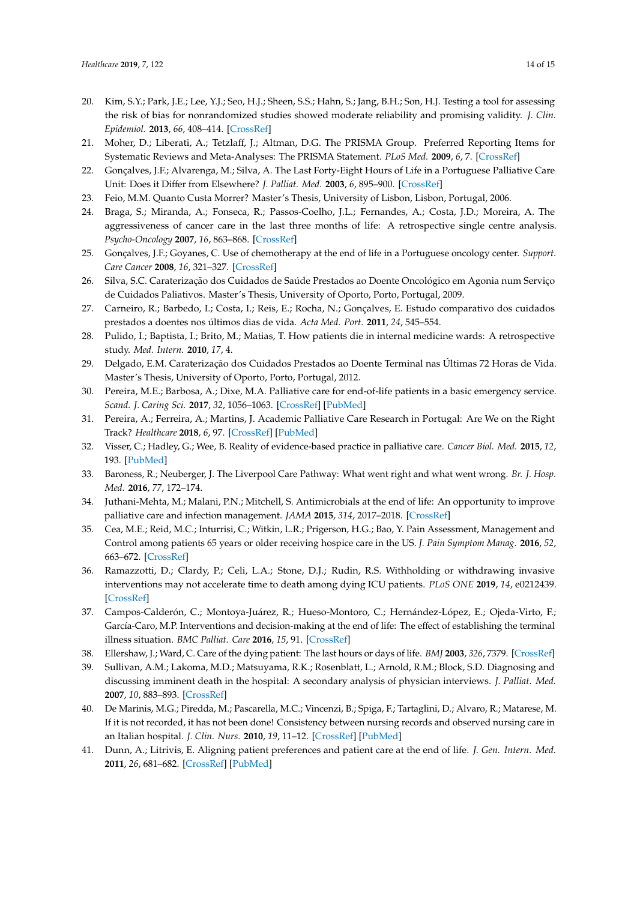- <span id="page-13-0"></span>20. Kim, S.Y.; Park, J.E.; Lee, Y.J.; Seo, H.J.; Sheen, S.S.; Hahn, S.; Jang, B.H.; Son, H.J. Testing a tool for assessing the risk of bias for nonrandomized studies showed moderate reliability and promising validity. *J. Clin. Epidemiol.* **2013**, *66*, 408–414. [\[CrossRef\]](http://dx.doi.org/10.1016/j.jclinepi.2012.09.016)
- <span id="page-13-1"></span>21. Moher, D.; Liberati, A.; Tetzlaff, J.; Altman, D.G. The PRISMA Group. Preferred Reporting Items for Systematic Reviews and Meta-Analyses: The PRISMA Statement. *PLoS Med.* **2009**, *6*, 7. [\[CrossRef\]](http://dx.doi.org/10.1371/journal.pmed.1000097)
- <span id="page-13-2"></span>22. Gonçalves, J.F.; Alvarenga, M.; Silva, A. The Last Forty-Eight Hours of Life in a Portuguese Palliative Care Unit: Does it Differ from Elsewhere? *J. Palliat. Med.* **2003**, *6*, 895–900. [\[CrossRef\]](http://dx.doi.org/10.1089/109662103322654776)
- <span id="page-13-4"></span><span id="page-13-3"></span>23. Feio, M.M. Quanto Custa Morrer? Master's Thesis, University of Lisbon, Lisbon, Portugal, 2006.
- 24. Braga, S.; Miranda, A.; Fonseca, R.; Passos-Coelho, J.L.; Fernandes, A.; Costa, J.D.; Moreira, A. The aggressiveness of cancer care in the last three months of life: A retrospective single centre analysis. *Psycho-Oncology* **2007**, *16*, 863–868. [\[CrossRef\]](http://dx.doi.org/10.1002/pon.1140)
- <span id="page-13-5"></span>25. Gonçalves, J.F.; Goyanes, C. Use of chemotherapy at the end of life in a Portuguese oncology center. *Support. Care Cancer* **2008**, *16*, 321–327. [\[CrossRef\]](http://dx.doi.org/10.1007/s00520-007-0316-x)
- <span id="page-13-6"></span>26. Silva, S.C. Caraterização dos Cuidados de Saúde Prestados ao Doente Oncológico em Agonia num Serviço de Cuidados Paliativos. Master's Thesis, University of Oporto, Porto, Portugal, 2009.
- <span id="page-13-7"></span>27. Carneiro, R.; Barbedo, I.; Costa, I.; Reis, E.; Rocha, N.; Gonçalves, E. Estudo comparativo dos cuidados prestados a doentes nos últimos dias de vida. *Acta Med. Port.* **2011**, *24*, 545–554.
- <span id="page-13-8"></span>28. Pulido, I.; Baptista, I.; Brito, M.; Matias, T. How patients die in internal medicine wards: A retrospective study. *Med. Intern.* **2010**, *17*, 4.
- <span id="page-13-9"></span>29. Delgado, E.M. Caraterização dos Cuidados Prestados ao Doente Terminal nas Últimas 72 Horas de Vida. Master's Thesis, University of Oporto, Porto, Portugal, 2012.
- <span id="page-13-10"></span>30. Pereira, M.E.; Barbosa, A.; Dixe, M.A. Palliative care for end-of-life patients in a basic emergency service. *Scand. J. Caring Sci.* **2017**, *32*, 1056–1063. [\[CrossRef\]](http://dx.doi.org/10.1111/scs.12551) [\[PubMed\]](http://www.ncbi.nlm.nih.gov/pubmed/29205442)
- <span id="page-13-11"></span>31. Pereira, A.; Ferreira, A.; Martins, J. Academic Palliative Care Research in Portugal: Are We on the Right Track? *Healthcare* **2018**, *6*, 97. [\[CrossRef\]](http://dx.doi.org/10.3390/healthcare6030097) [\[PubMed\]](http://www.ncbi.nlm.nih.gov/pubmed/30103530)
- <span id="page-13-12"></span>32. Visser, C.; Hadley, G.; Wee, B. Reality of evidence-based practice in palliative care. *Cancer Biol. Med.* **2015**, *12*, 193. [\[PubMed\]](http://www.ncbi.nlm.nih.gov/pubmed/26487964)
- <span id="page-13-13"></span>33. Baroness, R.; Neuberger, J. The Liverpool Care Pathway: What went right and what went wrong. *Br. J. Hosp. Med.* **2016**, *77*, 172–174.
- <span id="page-13-14"></span>34. Juthani-Mehta, M.; Malani, P.N.; Mitchell, S. Antimicrobials at the end of life: An opportunity to improve palliative care and infection management. *JAMA* **2015**, *314*, 2017–2018. [\[CrossRef\]](http://dx.doi.org/10.1001/jama.2015.13080)
- <span id="page-13-15"></span>35. Cea, M.E.; Reid, M.C.; Inturrisi, C.; Witkin, L.R.; Prigerson, H.G.; Bao, Y. Pain Assessment, Management and Control among patients 65 years or older receiving hospice care in the US. *J. Pain Symptom Manag.* **2016**, *52*, 663–672. [\[CrossRef\]](http://dx.doi.org/10.1016/j.jpainsymman.2016.05.020)
- <span id="page-13-16"></span>36. Ramazzotti, D.; Clardy, P.; Celi, L.A.; Stone, D.J.; Rudin, R.S. Withholding or withdrawing invasive interventions may not accelerate time to death among dying ICU patients. *PLoS ONE* **2019**, *14*, e0212439. [\[CrossRef\]](http://dx.doi.org/10.1371/journal.pone.0212439)
- <span id="page-13-17"></span>37. Campos-Calderón, C.; Montoya-Juárez, R.; Hueso-Montoro, C.; Hernández-López, E.; Ojeda-Virto, F.; García-Caro, M.P. Interventions and decision-making at the end of life: The effect of establishing the terminal illness situation. *BMC Palliat. Care* **2016**, *15*, 91. [\[CrossRef\]](http://dx.doi.org/10.1186/s12904-016-0162-z)
- <span id="page-13-18"></span>38. Ellershaw, J.; Ward, C. Care of the dying patient: The last hours or days of life. *BMJ* **2003**, *326*, 7379. [\[CrossRef\]](http://dx.doi.org/10.1136/bmj.326.7379.30)
- <span id="page-13-19"></span>39. Sullivan, A.M.; Lakoma, M.D.; Matsuyama, R.K.; Rosenblatt, L.; Arnold, R.M.; Block, S.D. Diagnosing and discussing imminent death in the hospital: A secondary analysis of physician interviews. *J. Palliat. Med.* **2007**, *10*, 883–893. [\[CrossRef\]](http://dx.doi.org/10.1089/jpm.2007.0189)
- <span id="page-13-20"></span>40. De Marinis, M.G.; Piredda, M.; Pascarella, M.C.; Vincenzi, B.; Spiga, F.; Tartaglini, D.; Alvaro, R.; Matarese, M. If it is not recorded, it has not been done! Consistency between nursing records and observed nursing care in an Italian hospital. *J. Clin. Nurs.* **2010**, *19*, 11–12. [\[CrossRef\]](http://dx.doi.org/10.1111/j.1365-2702.2009.03012.x) [\[PubMed\]](http://www.ncbi.nlm.nih.gov/pubmed/20438599)
- <span id="page-13-21"></span>41. Dunn, A.; Litrivis, E. Aligning patient preferences and patient care at the end of life. *J. Gen. Intern. Med.* **2011**, *26*, 681–682. [\[CrossRef\]](http://dx.doi.org/10.1007/s11606-011-1738-1) [\[PubMed\]](http://www.ncbi.nlm.nih.gov/pubmed/21638081)